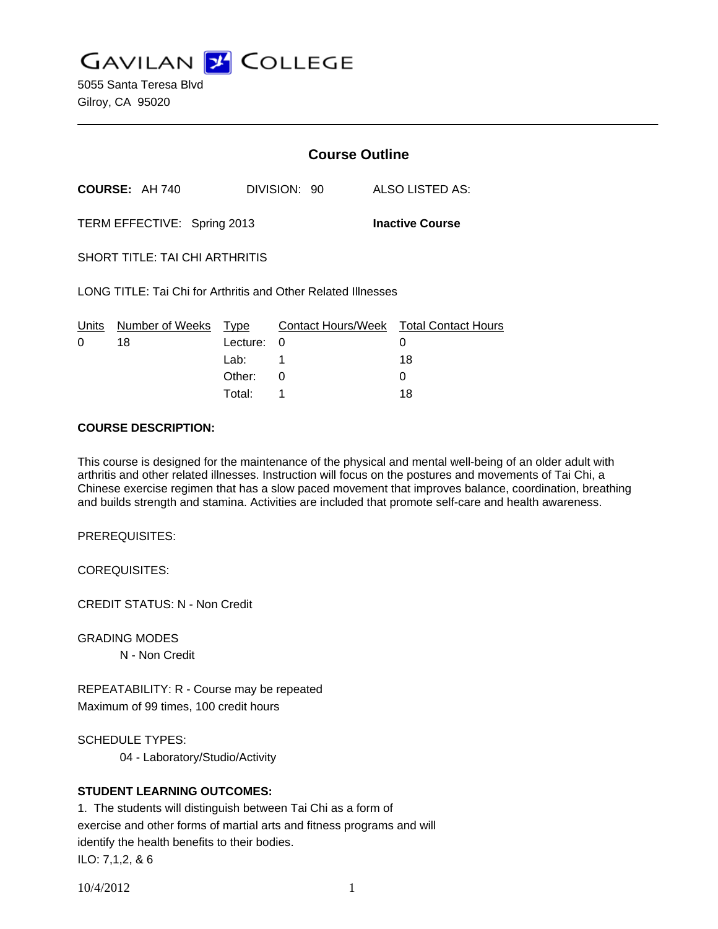**GAVILAN J COLLEGE** 

5055 Santa Teresa Blvd Gilroy, CA 95020

|                                                               |                            | <b>Course Outline</b> |              |                                             |
|---------------------------------------------------------------|----------------------------|-----------------------|--------------|---------------------------------------------|
|                                                               | <b>COURSE: AH 740</b>      |                       | DIVISION: 90 | ALSO LISTED AS:                             |
| TERM EFFECTIVE: Spring 2013<br><b>Inactive Course</b>         |                            |                       |              |                                             |
| SHORT TITLE: TAI CHI ARTHRITIS                                |                            |                       |              |                                             |
| LONG TITLE: Tai Chi for Arthritis and Other Related Illnesses |                            |                       |              |                                             |
| Units<br>0                                                    | Number of Weeks Type<br>18 | Lecture:              | 0            | Contact Hours/Week Total Contact Hours<br>0 |
|                                                               |                            | Lab: L                | 1            | 18                                          |
|                                                               |                            | Other:                | 0            | 0                                           |
|                                                               |                            | Total:                | 1            | 18                                          |

#### **COURSE DESCRIPTION:**

This course is designed for the maintenance of the physical and mental well-being of an older adult with arthritis and other related illnesses. Instruction will focus on the postures and movements of Tai Chi, a Chinese exercise regimen that has a slow paced movement that improves balance, coordination, breathing and builds strength and stamina. Activities are included that promote self-care and health awareness.

PREREQUISITES:

COREQUISITES:

CREDIT STATUS: N - Non Credit

GRADING MODES

N - Non Credit

REPEATABILITY: R - Course may be repeated Maximum of 99 times, 100 credit hours

SCHEDULE TYPES:

04 - Laboratory/Studio/Activity

## **STUDENT LEARNING OUTCOMES:**

1. The students will distinguish between Tai Chi as a form of exercise and other forms of martial arts and fitness programs and will identify the health benefits to their bodies. ILO: 7,1,2, & 6

10/4/2012 1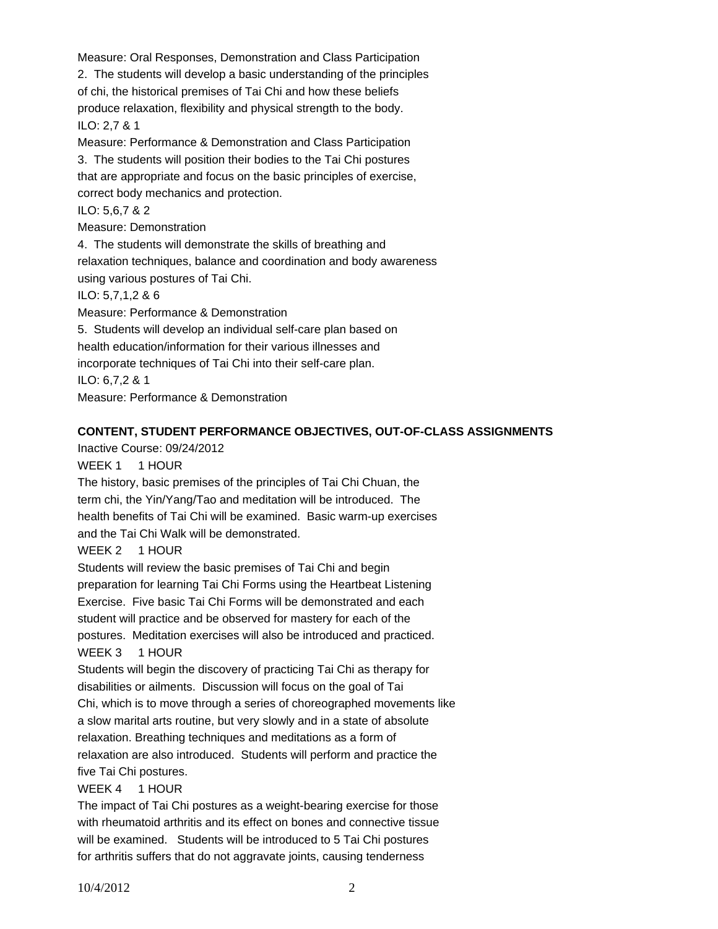Measure: Oral Responses, Demonstration and Class Participation 2. The students will develop a basic understanding of the principles of chi, the historical premises of Tai Chi and how these beliefs produce relaxation, flexibility and physical strength to the body. ILO: 2,7 & 1 Measure: Performance & Demonstration and Class Participation 3. The students will position their bodies to the Tai Chi postures

that are appropriate and focus on the basic principles of exercise, correct body mechanics and protection.

## ILO: 5,6,7 & 2

Measure: Demonstration

4. The students will demonstrate the skills of breathing and relaxation techniques, balance and coordination and body awareness using various postures of Tai Chi.

## ILO: 5,7,1,2 & 6

Measure: Performance & Demonstration

5. Students will develop an individual self-care plan based on health education/information for their various illnesses and

incorporate techniques of Tai Chi into their self-care plan.

ILO: 6,7,2 & 1

Measure: Performance & Demonstration

# **CONTENT, STUDENT PERFORMANCE OBJECTIVES, OUT-OF-CLASS ASSIGNMENTS**

Inactive Course: 09/24/2012

WEEK 1 1 HOUR

The history, basic premises of the principles of Tai Chi Chuan, the term chi, the Yin/Yang/Tao and meditation will be introduced. The health benefits of Tai Chi will be examined. Basic warm-up exercises and the Tai Chi Walk will be demonstrated.

## WEEK 2 1 HOUR

Students will review the basic premises of Tai Chi and begin preparation for learning Tai Chi Forms using the Heartbeat Listening Exercise. Five basic Tai Chi Forms will be demonstrated and each student will practice and be observed for mastery for each of the postures. Meditation exercises will also be introduced and practiced. WEEK 3 1 HOUR

Students will begin the discovery of practicing Tai Chi as therapy for disabilities or ailments. Discussion will focus on the goal of Tai Chi, which is to move through a series of choreographed movements like

a slow marital arts routine, but very slowly and in a state of absolute

relaxation. Breathing techniques and meditations as a form of

relaxation are also introduced. Students will perform and practice the five Tai Chi postures.

# WEEK 4 1 HOUR

The impact of Tai Chi postures as a weight-bearing exercise for those with rheumatoid arthritis and its effect on bones and connective tissue will be examined. Students will be introduced to 5 Tai Chi postures for arthritis suffers that do not aggravate joints, causing tenderness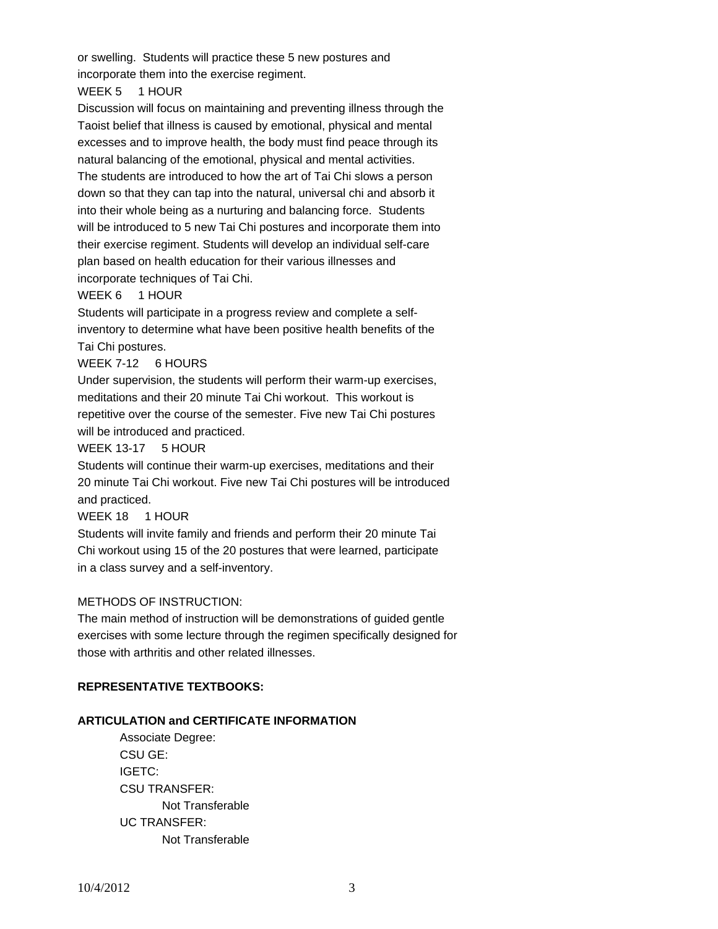or swelling. Students will practice these 5 new postures and incorporate them into the exercise regiment.

WEEK 5 1 HOUR

Discussion will focus on maintaining and preventing illness through the Taoist belief that illness is caused by emotional, physical and mental excesses and to improve health, the body must find peace through its natural balancing of the emotional, physical and mental activities. The students are introduced to how the art of Tai Chi slows a person down so that they can tap into the natural, universal chi and absorb it into their whole being as a nurturing and balancing force. Students will be introduced to 5 new Tai Chi postures and incorporate them into their exercise regiment. Students will develop an individual self-care plan based on health education for their various illnesses and incorporate techniques of Tai Chi.

#### WEEK 6 1 HOUR

Students will participate in a progress review and complete a selfinventory to determine what have been positive health benefits of the Tai Chi postures.

WEEK 7-12 6 HOURS

Under supervision, the students will perform their warm-up exercises, meditations and their 20 minute Tai Chi workout. This workout is repetitive over the course of the semester. Five new Tai Chi postures will be introduced and practiced.

WEEK 13-17 5 HOUR

Students will continue their warm-up exercises, meditations and their 20 minute Tai Chi workout. Five new Tai Chi postures will be introduced and practiced.

WEEK 18 1 HOUR

Students will invite family and friends and perform their 20 minute Tai Chi workout using 15 of the 20 postures that were learned, participate in a class survey and a self-inventory.

## METHODS OF INSTRUCTION:

The main method of instruction will be demonstrations of guided gentle exercises with some lecture through the regimen specifically designed for those with arthritis and other related illnesses.

## **REPRESENTATIVE TEXTBOOKS:**

## **ARTICULATION and CERTIFICATE INFORMATION**

 Associate Degree: CSU GE: IGETC: CSU TRANSFER: Not Transferable UC TRANSFER: Not Transferable